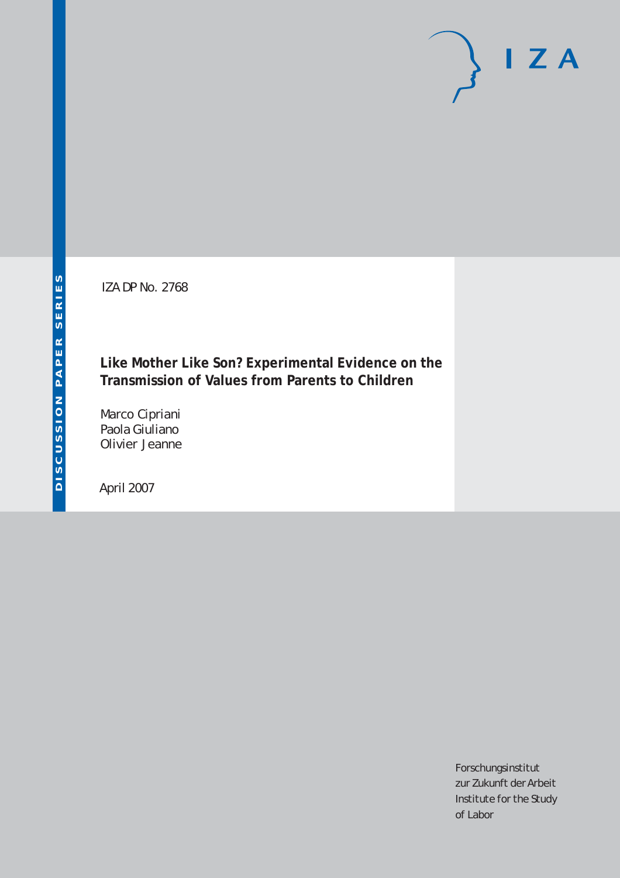IZA DP No. 2768

# **Like Mother Like Son? Experimental Evidence on the Transmission of Values from Parents to Children**

Marco Cipriani Paola Giuliano Olivier Jeanne

April 2007

Forschungsinstitut zur Zukunft der Arbeit Institute for the Study of Labor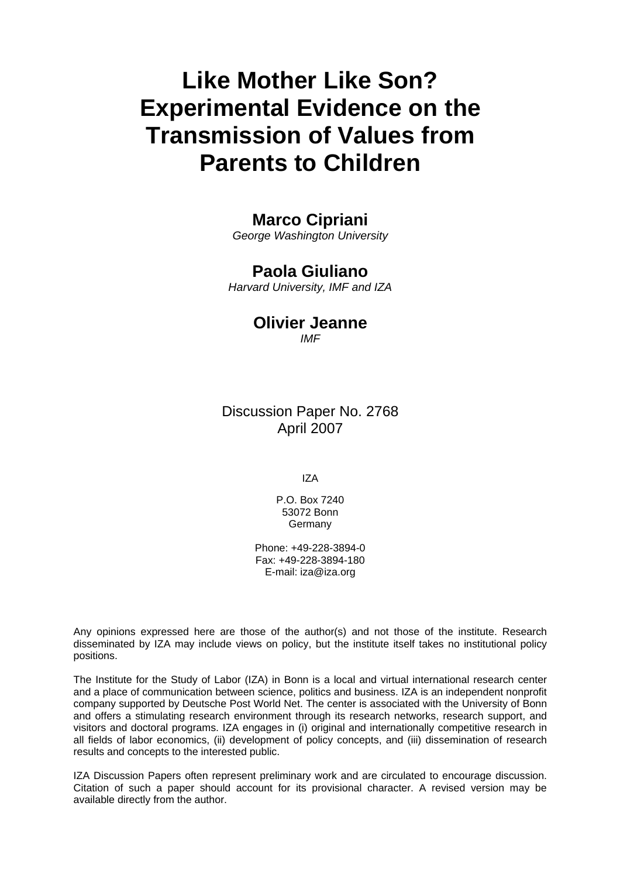# **Like Mother Like Son? Experimental Evidence on the Transmission of Values from Parents to Children**

# **Marco Cipriani**

*George Washington University* 

# **Paola Giuliano**

*Harvard University, IMF and IZA* 

# **Olivier Jeanne**

*IMF* 

Discussion Paper No. 2768 April 2007

IZA

P.O. Box 7240 53072 Bonn Germany

Phone: +49-228-3894-0 Fax: +49-228-3894-180 E-mail: [iza@iza.org](mailto:iza@iza.org)

Any opinions expressed here are those of the author(s) and not those of the institute. Research disseminated by IZA may include views on policy, but the institute itself takes no institutional policy positions.

The Institute for the Study of Labor (IZA) in Bonn is a local and virtual international research center and a place of communication between science, politics and business. IZA is an independent nonprofit company supported by Deutsche Post World Net. The center is associated with the University of Bonn and offers a stimulating research environment through its research networks, research support, and visitors and doctoral programs. IZA engages in (i) original and internationally competitive research in all fields of labor economics, (ii) development of policy concepts, and (iii) dissemination of research results and concepts to the interested public.

IZA Discussion Papers often represent preliminary work and are circulated to encourage discussion. Citation of such a paper should account for its provisional character. A revised version may be available directly from the author.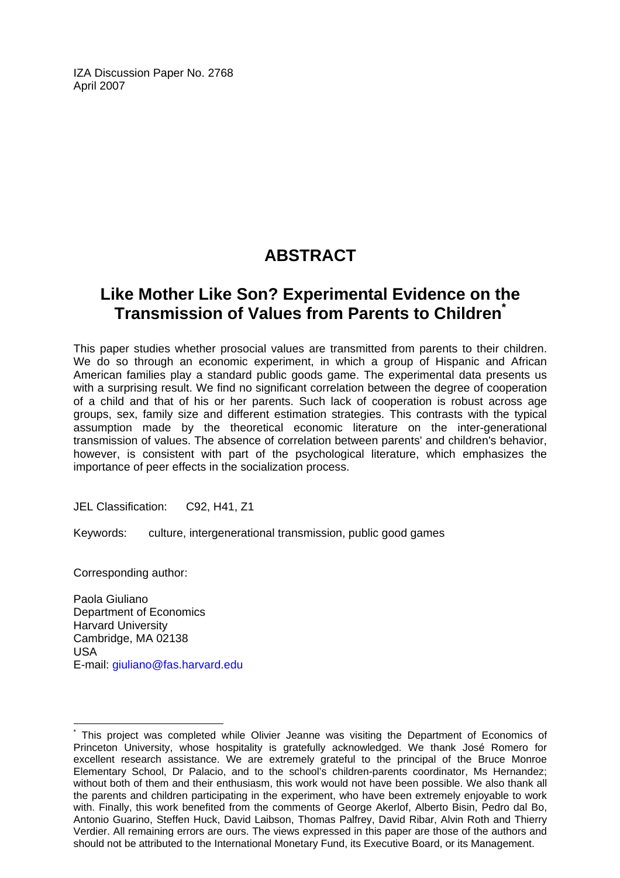IZA Discussion Paper No. 2768 April 2007

# **ABSTRACT**

# **Like Mother Like Son? Experimental Evidence on the Transmission of Values from Parents to Children[\\*](#page-2-0)**

This paper studies whether prosocial values are transmitted from parents to their children. We do so through an economic experiment, in which a group of Hispanic and African American families play a standard public goods game. The experimental data presents us with a surprising result. We find no significant correlation between the degree of cooperation of a child and that of his or her parents. Such lack of cooperation is robust across age groups, sex, family size and different estimation strategies. This contrasts with the typical assumption made by the theoretical economic literature on the inter-generational transmission of values. The absence of correlation between parents' and children's behavior, however, is consistent with part of the psychological literature, which emphasizes the importance of peer effects in the socialization process.

JEL Classification: C92, H41, Z1

Keywords: culture, intergenerational transmission, public good games

Corresponding author:

 $\overline{a}$ 

Paola Giuliano Department of Economics Harvard University Cambridge, MA 02138 USA E-mail: [giuliano@fas.harvard.edu](mailto:giuliano@fas.harvard.edu)

<span id="page-2-0"></span><sup>\*</sup> This project was completed while Olivier Jeanne was visiting the Department of Economics of Princeton University, whose hospitality is gratefully acknowledged. We thank José Romero for excellent research assistance. We are extremely grateful to the principal of the Bruce Monroe Elementary School, Dr Palacio, and to the school's children-parents coordinator, Ms Hernandez; without both of them and their enthusiasm, this work would not have been possible. We also thank all the parents and children participating in the experiment, who have been extremely enjoyable to work with. Finally, this work benefited from the comments of George Akerlof, Alberto Bisin, Pedro dal Bo, Antonio Guarino, Steffen Huck, David Laibson, Thomas Palfrey, David Ribar, Alvin Roth and Thierry Verdier. All remaining errors are ours. The views expressed in this paper are those of the authors and should not be attributed to the International Monetary Fund, its Executive Board, or its Management.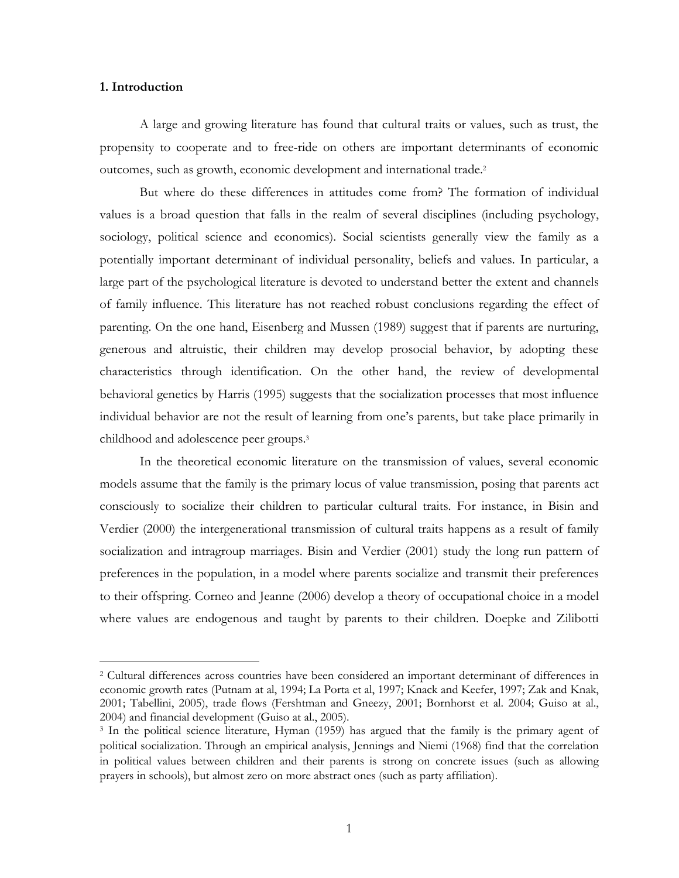### 1. Introduction

l.

A large and growing literature has found that cultural traits or values, such as trust, the propensity to cooperate and to free-ride on others are important determinants of economic outcomes, such as growth, economic development and international trade.<sup>2</sup>

But where do these differences in attitudes come from? The formation of individual values is a broad question that falls in the realm of several disciplines (including psychology, sociology, political science and economics). Social scientists generally view the family as a potentially important determinant of individual personality, beliefs and values. In particular, a large part of the psychological literature is devoted to understand better the extent and channels of family influence. This literature has not reached robust conclusions regarding the effect of parenting. On the one hand, Eisenberg and Mussen (1989) suggest that if parents are nurturing, generous and altruistic, their children may develop prosocial behavior, by adopting these characteristics through identification. On the other hand, the review of developmental behavioral genetics by Harris (1995) suggests that the socialization processes that most influence individual behavior are not the result of learning from one's parents, but take place primarily in childhood and adolescence peer groups.<sup>3</sup>

In the theoretical economic literature on the transmission of values, several economic models assume that the family is the primary locus of value transmission, posing that parents act consciously to socialize their children to particular cultural traits. For instance, in Bisin and Verdier (2000) the intergenerational transmission of cultural traits happens as a result of family socialization and intragroup marriages. Bisin and Verdier (2001) study the long run pattern of preferences in the population, in a model where parents socialize and transmit their preferences to their offspring. Corneo and Jeanne (2006) develop a theory of occupational choice in a model where values are endogenous and taught by parents to their children. Doepke and Zilibotti

<sup>2</sup> Cultural differences across countries have been considered an important determinant of differences in economic growth rates (Putnam at al, 1994; La Porta et al, 1997; Knack and Keefer, 1997; Zak and Knak, 2001; Tabellini, 2005), trade flows (Fershtman and Gneezy, 2001; Bornhorst et al. 2004; Guiso at al., 2004) and financial development (Guiso at al., 2005).

<sup>3</sup> In the political science literature, Hyman (1959) has argued that the family is the primary agent of political socialization. Through an empirical analysis, Jennings and Niemi (1968) find that the correlation in political values between children and their parents is strong on concrete issues (such as allowing prayers in schools), but almost zero on more abstract ones (such as party affiliation).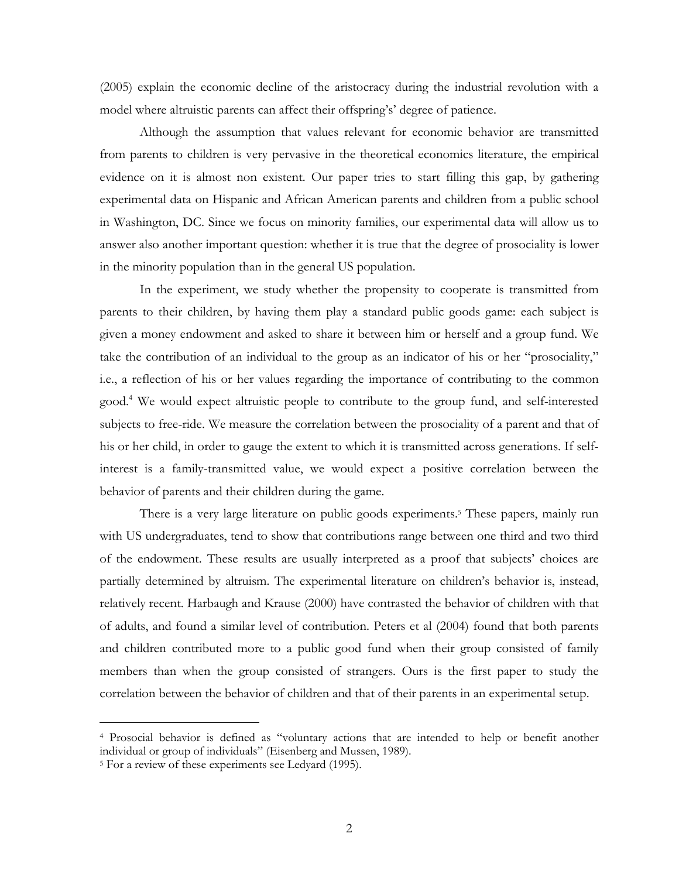(2005) explain the economic decline of the aristocracy during the industrial revolution with a model where altruistic parents can affect their offspring's' degree of patience.

Although the assumption that values relevant for economic behavior are transmitted from parents to children is very pervasive in the theoretical economics literature, the empirical evidence on it is almost non existent. Our paper tries to start filling this gap, by gathering experimental data on Hispanic and African American parents and children from a public school in Washington, DC. Since we focus on minority families, our experimental data will allow us to answer also another important question: whether it is true that the degree of prosociality is lower in the minority population than in the general US population.

In the experiment, we study whether the propensity to cooperate is transmitted from parents to their children, by having them play a standard public goods game: each subject is given a money endowment and asked to share it between him or herself and a group fund. We take the contribution of an individual to the group as an indicator of his or her "prosociality," i.e., a reflection of his or her values regarding the importance of contributing to the common good.<sup>4</sup> We would expect altruistic people to contribute to the group fund, and self-interested subjects to free-ride. We measure the correlation between the prosociality of a parent and that of his or her child, in order to gauge the extent to which it is transmitted across generations. If selfinterest is a family-transmitted value, we would expect a positive correlation between the behavior of parents and their children during the game.

There is a very large literature on public goods experiments.<sup>5</sup> These papers, mainly run with US undergraduates, tend to show that contributions range between one third and two third of the endowment. These results are usually interpreted as a proof that subjects' choices are partially determined by altruism. The experimental literature on children's behavior is, instead, relatively recent. Harbaugh and Krause (2000) have contrasted the behavior of children with that of adults, and found a similar level of contribution. Peters et al (2004) found that both parents and children contributed more to a public good fund when their group consisted of family members than when the group consisted of strangers. Ours is the first paper to study the correlation between the behavior of children and that of their parents in an experimental setup.

<sup>4</sup> Prosocial behavior is defined as "voluntary actions that are intended to help or benefit another individual or group of individuals" (Eisenberg and Mussen, 1989).

<sup>5</sup> For a review of these experiments see Ledyard (1995).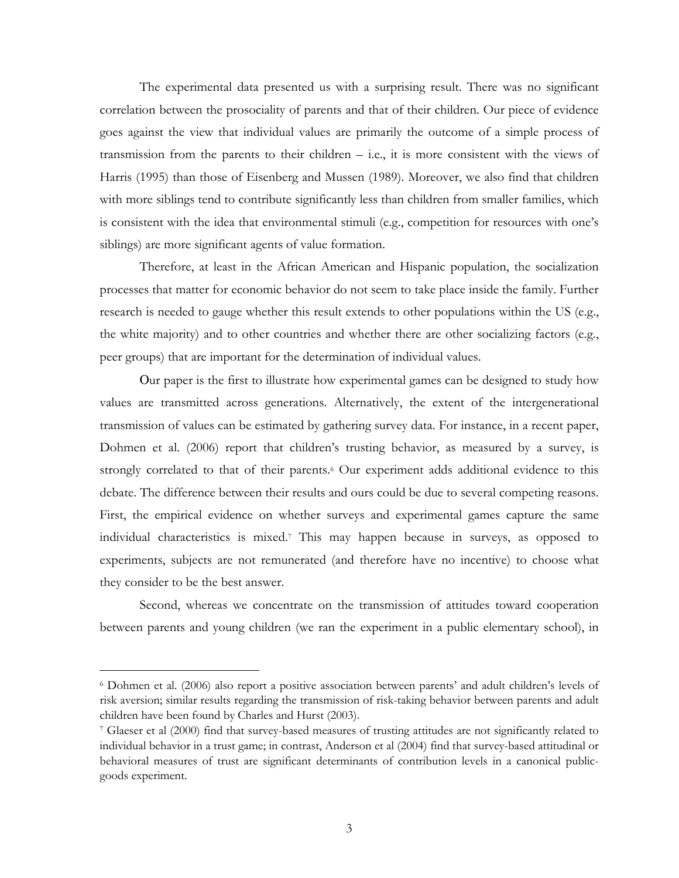The experimental data presented us with a surprising result. There was no significant correlation between the prosociality of parents and that of their children. Our piece of evidence goes against the view that individual values are primarily the outcome of a simple process of transmission from the parents to their children – i.e., it is more consistent with the views of Harris (1995) than those of Eisenberg and Mussen (1989). Moreover, we also find that children with more siblings tend to contribute significantly less than children from smaller families, which is consistent with the idea that environmental stimuli (e.g., competition for resources with one's siblings) are more significant agents of value formation.

Therefore, at least in the African American and Hispanic population, the socialization processes that matter for economic behavior do not seem to take place inside the family. Further research is needed to gauge whether this result extends to other populations within the US (e.g., the white majority) and to other countries and whether there are other socializing factors (e.g., peer groups) that are important for the determination of individual values.

Our paper is the first to illustrate how experimental games can be designed to study how values are transmitted across generations. Alternatively, the extent of the intergenerational transmission of values can be estimated by gathering survey data. For instance, in a recent paper, Dohmen et al. (2006) report that children's trusting behavior, as measured by a survey, is strongly correlated to that of their parents.<sup>6</sup> Our experiment adds additional evidence to this debate. The difference between their results and ours could be due to several competing reasons. First, the empirical evidence on whether surveys and experimental games capture the same individual characteristics is mixed.<sup>7</sup> This may happen because in surveys, as opposed to experiments, subjects are not remunerated (and therefore have no incentive) to choose what they consider to be the best answer.

Second, whereas we concentrate on the transmission of attitudes toward cooperation between parents and young children (we ran the experiment in a public elementary school), in

<sup>6</sup> Dohmen et al. (2006) also report a positive association between parents' and adult children's levels of risk aversion; similar results regarding the transmission of risk-taking behavior between parents and adult children have been found by Charles and Hurst (2003).

<sup>7</sup> Glaeser et al (2000) find that survey-based measures of trusting attitudes are not significantly related to individual behavior in a trust game; in contrast, Anderson et al (2004) find that survey-based attitudinal or behavioral measures of trust are significant determinants of contribution levels in a canonical publicgoods experiment.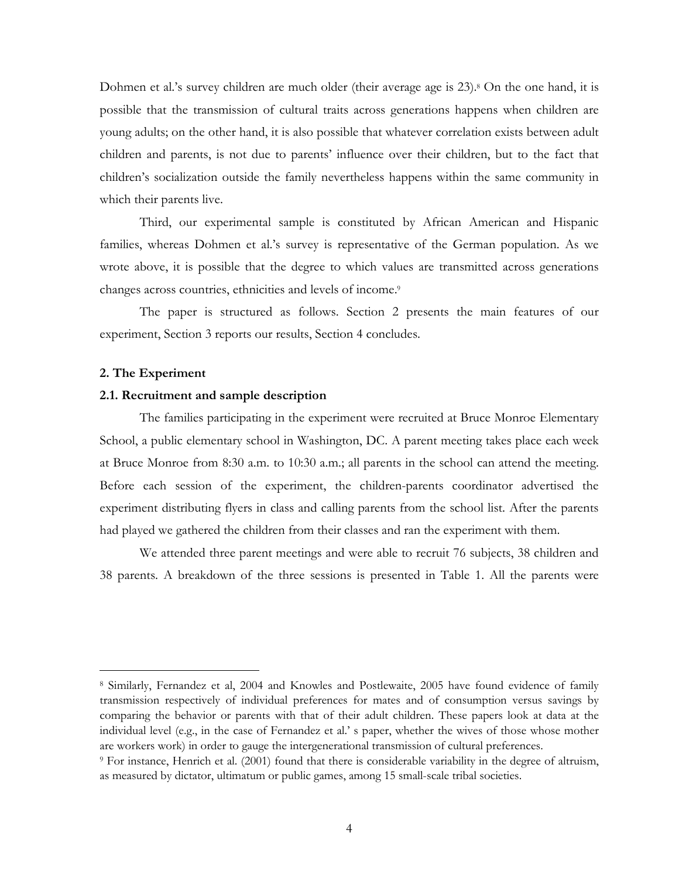Dohmen et al.'s survey children are much older (their average age is 23).<sup>8</sup> On the one hand, it is possible that the transmission of cultural traits across generations happens when children are young adults; on the other hand, it is also possible that whatever correlation exists between adult children and parents, is not due to parents' influence over their children, but to the fact that children's socialization outside the family nevertheless happens within the same community in which their parents live.

Third, our experimental sample is constituted by African American and Hispanic families, whereas Dohmen et al.'s survey is representative of the German population. As we wrote above, it is possible that the degree to which values are transmitted across generations changes across countries, ethnicities and levels of income.<sup>9</sup>

The paper is structured as follows. Section 2 presents the main features of our experiment, Section 3 reports our results, Section 4 concludes.

### 2. The Experiment

l.

### 2.1. Recruitment and sample description

The families participating in the experiment were recruited at Bruce Monroe Elementary School, a public elementary school in Washington, DC. A parent meeting takes place each week at Bruce Monroe from 8:30 a.m. to 10:30 a.m.; all parents in the school can attend the meeting. Before each session of the experiment, the children-parents coordinator advertised the experiment distributing flyers in class and calling parents from the school list. After the parents had played we gathered the children from their classes and ran the experiment with them.

We attended three parent meetings and were able to recruit 76 subjects, 38 children and 38 parents. A breakdown of the three sessions is presented in Table 1. All the parents were

<sup>8</sup> Similarly, Fernandez et al, 2004 and Knowles and Postlewaite, 2005 have found evidence of family transmission respectively of individual preferences for mates and of consumption versus savings by comparing the behavior or parents with that of their adult children. These papers look at data at the individual level (e.g., in the case of Fernandez et al.' s paper, whether the wives of those whose mother are workers work) in order to gauge the intergenerational transmission of cultural preferences.

<sup>9</sup> For instance, Henrich et al. (2001) found that there is considerable variability in the degree of altruism, as measured by dictator, ultimatum or public games, among 15 small-scale tribal societies.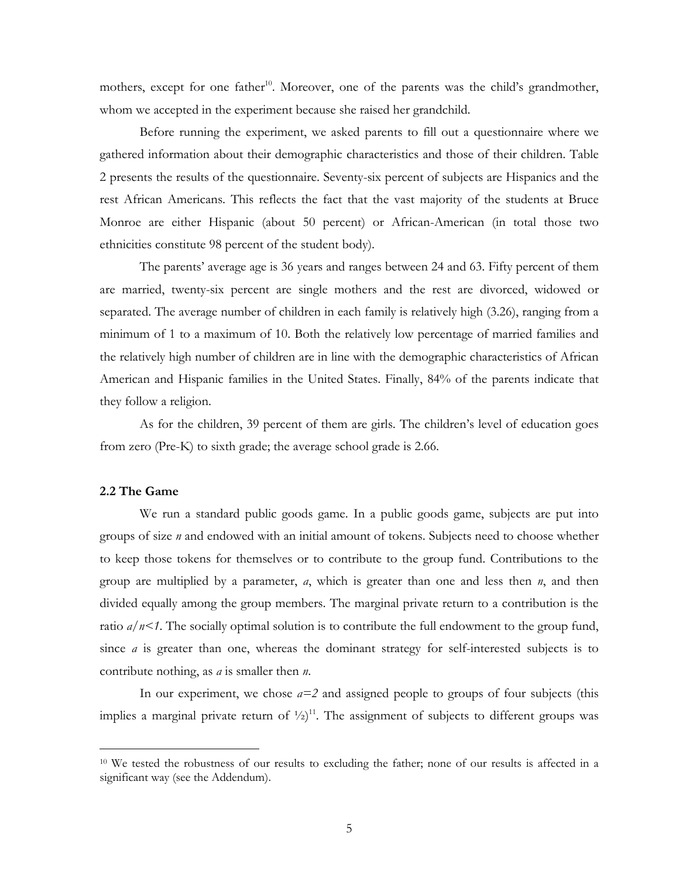mothers, except for one father<sup>10</sup>. Moreover, one of the parents was the child's grandmother, whom we accepted in the experiment because she raised her grandchild.

Before running the experiment, we asked parents to fill out a questionnaire where we gathered information about their demographic characteristics and those of their children. Table 2 presents the results of the questionnaire. Seventy-six percent of subjects are Hispanics and the rest African Americans. This reflects the fact that the vast majority of the students at Bruce Monroe are either Hispanic (about 50 percent) or African-American (in total those two ethnicities constitute 98 percent of the student body).

The parents' average age is 36 years and ranges between 24 and 63. Fifty percent of them are married, twenty-six percent are single mothers and the rest are divorced, widowed or separated. The average number of children in each family is relatively high (3.26), ranging from a minimum of 1 to a maximum of 10. Both the relatively low percentage of married families and the relatively high number of children are in line with the demographic characteristics of African American and Hispanic families in the United States. Finally, 84% of the parents indicate that they follow a religion.

As for the children, 39 percent of them are girls. The children's level of education goes from zero (Pre-K) to sixth grade; the average school grade is 2.66.

### 2.2 The Game

l.

We run a standard public goods game. In a public goods game, subjects are put into groups of size  $n$  and endowed with an initial amount of tokens. Subjects need to choose whether to keep those tokens for themselves or to contribute to the group fund. Contributions to the group are multiplied by a parameter,  $a$ , which is greater than one and less then  $n$ , and then divided equally among the group members. The marginal private return to a contribution is the ratio  $a/n < 1$ . The socially optimal solution is to contribute the full endowment to the group fund, since  $\alpha$  is greater than one, whereas the dominant strategy for self-interested subjects is to contribute nothing, as  $a$  is smaller then  $n$ .

In our experiment, we chose  $a=2$  and assigned people to groups of four subjects (this implies a marginal private return of  $\frac{1}{2}$ <sup>11</sup>. The assignment of subjects to different groups was

<sup>10</sup> We tested the robustness of our results to excluding the father; none of our results is affected in a significant way (see the Addendum).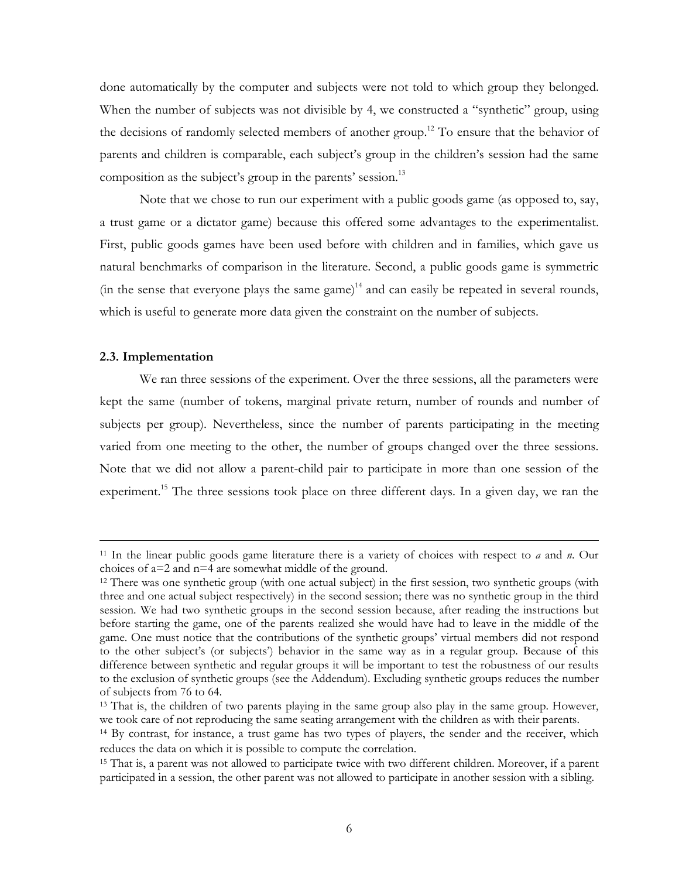done automatically by the computer and subjects were not told to which group they belonged. When the number of subjects was not divisible by 4, we constructed a "synthetic" group, using the decisions of randomly selected members of another group.<sup>12</sup> To ensure that the behavior of parents and children is comparable, each subject's group in the children's session had the same composition as the subject's group in the parents' session.<sup>13</sup>

Note that we chose to run our experiment with a public goods game (as opposed to, say, a trust game or a dictator game) because this offered some advantages to the experimentalist. First, public goods games have been used before with children and in families, which gave us natural benchmarks of comparison in the literature. Second, a public goods game is symmetric (in the sense that everyone plays the same game)<sup>14</sup> and can easily be repeated in several rounds, which is useful to generate more data given the constraint on the number of subjects.

### 2.3. Implementation

 $\overline{a}$ 

We ran three sessions of the experiment. Over the three sessions, all the parameters were kept the same (number of tokens, marginal private return, number of rounds and number of subjects per group). Nevertheless, since the number of parents participating in the meeting varied from one meeting to the other, the number of groups changed over the three sessions. Note that we did not allow a parent-child pair to participate in more than one session of the experiment.<sup>15</sup> The three sessions took place on three different days. In a given day, we ran the

<sup>&</sup>lt;sup>11</sup> In the linear public goods game literature there is a variety of choices with respect to  $a$  and  $n$ . Our choices of a=2 and n=4 are somewhat middle of the ground.

<sup>12</sup> There was one synthetic group (with one actual subject) in the first session, two synthetic groups (with three and one actual subject respectively) in the second session; there was no synthetic group in the third session. We had two synthetic groups in the second session because, after reading the instructions but before starting the game, one of the parents realized she would have had to leave in the middle of the game. One must notice that the contributions of the synthetic groups' virtual members did not respond to the other subject's (or subjects') behavior in the same way as in a regular group. Because of this difference between synthetic and regular groups it will be important to test the robustness of our results to the exclusion of synthetic groups (see the Addendum). Excluding synthetic groups reduces the number of subjects from 76 to 64.

<sup>&</sup>lt;sup>13</sup> That is, the children of two parents playing in the same group also play in the same group. However, we took care of not reproducing the same seating arrangement with the children as with their parents.

<sup>&</sup>lt;sup>14</sup> By contrast, for instance, a trust game has two types of players, the sender and the receiver, which reduces the data on which it is possible to compute the correlation.

<sup>15</sup> That is, a parent was not allowed to participate twice with two different children. Moreover, if a parent participated in a session, the other parent was not allowed to participate in another session with a sibling.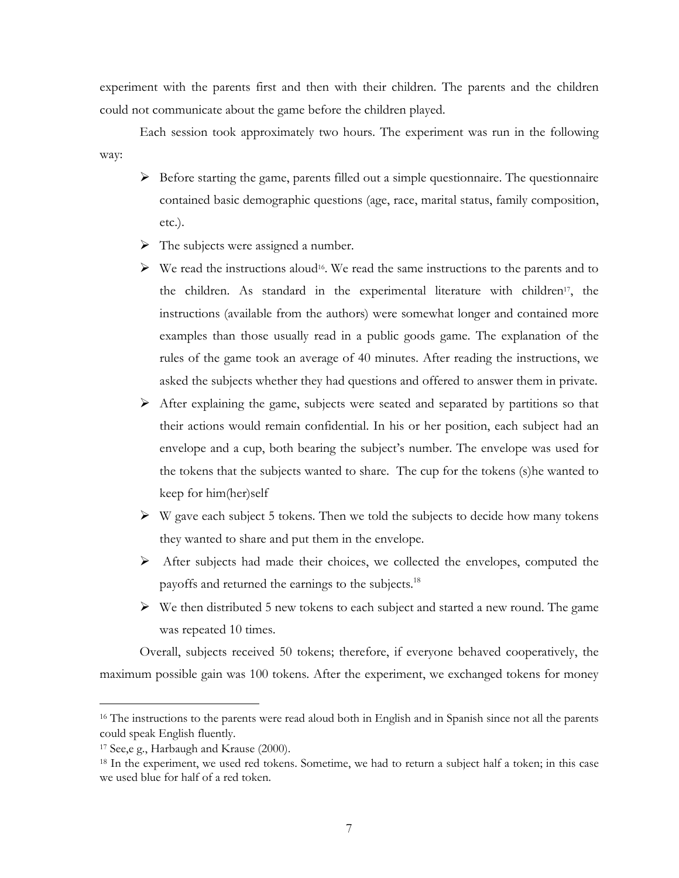experiment with the parents first and then with their children. The parents and the children could not communicate about the game before the children played.

Each session took approximately two hours. The experiment was run in the following way:

- $\triangleright$  Before starting the game, parents filled out a simple questionnaire. The questionnaire contained basic demographic questions (age, race, marital status, family composition, etc.).
- $\triangleright$  The subjects were assigned a number.
- $\triangleright$  We read the instructions aloud<sup>16</sup>. We read the same instructions to the parents and to the children. As standard in the experimental literature with children<sup>17</sup>, the instructions (available from the authors) were somewhat longer and contained more examples than those usually read in a public goods game. The explanation of the rules of the game took an average of 40 minutes. After reading the instructions, we asked the subjects whether they had questions and offered to answer them in private.
- $\triangleright$  After explaining the game, subjects were seated and separated by partitions so that their actions would remain confidential. In his or her position, each subject had an envelope and a cup, both bearing the subject's number. The envelope was used for the tokens that the subjects wanted to share. The cup for the tokens (s)he wanted to keep for him(her)self
- $\triangleright$  W gave each subject 5 tokens. Then we told the subjects to decide how many tokens they wanted to share and put them in the envelope.
- $\triangleright$  After subjects had made their choices, we collected the envelopes, computed the payoffs and returned the earnings to the subjects.<sup>18</sup>
- $\triangleright$  We then distributed 5 new tokens to each subject and started a new round. The game was repeated 10 times.

Overall, subjects received 50 tokens; therefore, if everyone behaved cooperatively, the maximum possible gain was 100 tokens. After the experiment, we exchanged tokens for money

 $\overline{a}$ 

<sup>&</sup>lt;sup>16</sup> The instructions to the parents were read aloud both in English and in Spanish since not all the parents could speak English fluently.

<sup>17</sup> See,e g., Harbaugh and Krause (2000).

<sup>18</sup> In the experiment, we used red tokens. Sometime, we had to return a subject half a token; in this case we used blue for half of a red token.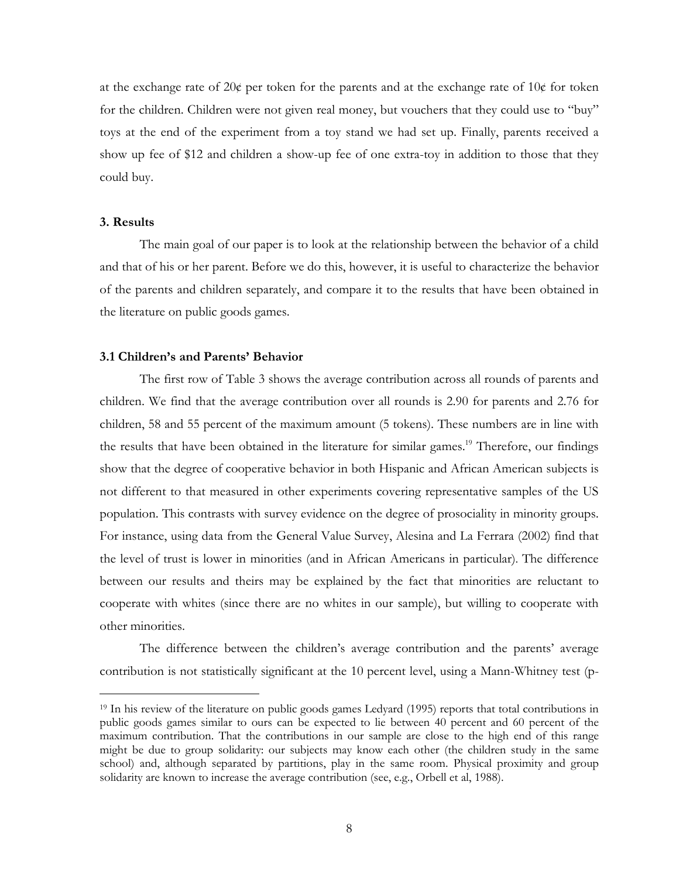at the exchange rate of  $20¢$  per token for the parents and at the exchange rate of  $10¢$  for token for the children. Children were not given real money, but vouchers that they could use to "buy" toys at the end of the experiment from a toy stand we had set up. Finally, parents received a show up fee of \$12 and children a show-up fee of one extra-toy in addition to those that they could buy.

### 3. Results

l.

The main goal of our paper is to look at the relationship between the behavior of a child and that of his or her parent. Before we do this, however, it is useful to characterize the behavior of the parents and children separately, and compare it to the results that have been obtained in the literature on public goods games.

### 3.1 Children's and Parents' Behavior

The first row of Table 3 shows the average contribution across all rounds of parents and children. We find that the average contribution over all rounds is 2.90 for parents and 2.76 for children, 58 and 55 percent of the maximum amount (5 tokens). These numbers are in line with the results that have been obtained in the literature for similar games.<sup>19</sup> Therefore, our findings show that the degree of cooperative behavior in both Hispanic and African American subjects is not different to that measured in other experiments covering representative samples of the US population. This contrasts with survey evidence on the degree of prosociality in minority groups. For instance, using data from the General Value Survey, Alesina and La Ferrara (2002) find that the level of trust is lower in minorities (and in African Americans in particular). The difference between our results and theirs may be explained by the fact that minorities are reluctant to cooperate with whites (since there are no whites in our sample), but willing to cooperate with other minorities.

The difference between the children's average contribution and the parents' average contribution is not statistically significant at the 10 percent level, using a Mann-Whitney test (p-

<sup>19</sup> In his review of the literature on public goods games Ledyard (1995) reports that total contributions in public goods games similar to ours can be expected to lie between 40 percent and 60 percent of the maximum contribution. That the contributions in our sample are close to the high end of this range might be due to group solidarity: our subjects may know each other (the children study in the same school) and, although separated by partitions, play in the same room. Physical proximity and group solidarity are known to increase the average contribution (see, e.g., Orbell et al, 1988).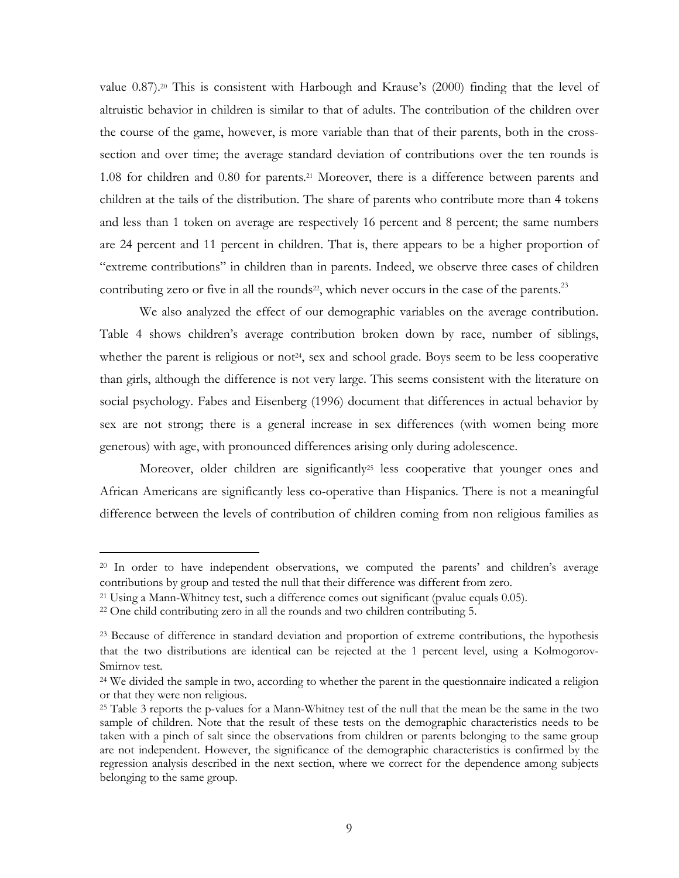value 0.87).20 This is consistent with Harbough and Krause's (2000) finding that the level of altruistic behavior in children is similar to that of adults. The contribution of the children over the course of the game, however, is more variable than that of their parents, both in the crosssection and over time; the average standard deviation of contributions over the ten rounds is 1.08 for children and 0.80 for parents.21 Moreover, there is a difference between parents and children at the tails of the distribution. The share of parents who contribute more than 4 tokens and less than 1 token on average are respectively 16 percent and 8 percent; the same numbers are 24 percent and 11 percent in children. That is, there appears to be a higher proportion of "extreme contributions" in children than in parents. Indeed, we observe three cases of children contributing zero or five in all the rounds<sup>22</sup>, which never occurs in the case of the parents.<sup>23</sup>

We also analyzed the effect of our demographic variables on the average contribution. Table 4 shows children's average contribution broken down by race, number of siblings, whether the parent is religious or not<sup>24</sup>, sex and school grade. Boys seem to be less cooperative than girls, although the difference is not very large. This seems consistent with the literature on social psychology. Fabes and Eisenberg (1996) document that differences in actual behavior by sex are not strong; there is a general increase in sex differences (with women being more generous) with age, with pronounced differences arising only during adolescence.

Moreover, older children are significantly<sup>25</sup> less cooperative that younger ones and African Americans are significantly less co-operative than Hispanics. There is not a meaningful difference between the levels of contribution of children coming from non religious families as

<sup>&</sup>lt;sup>20</sup> In order to have independent observations, we computed the parents' and children's average contributions by group and tested the null that their difference was different from zero.

<sup>21</sup> Using a Mann-Whitney test, such a difference comes out significant (pvalue equals 0.05).

<sup>22</sup> One child contributing zero in all the rounds and two children contributing 5.

<sup>&</sup>lt;sup>23</sup> Because of difference in standard deviation and proportion of extreme contributions, the hypothesis that the two distributions are identical can be rejected at the 1 percent level, using a Kolmogorov-Smirnov test.

<sup>&</sup>lt;sup>24</sup> We divided the sample in two, according to whether the parent in the questionnaire indicated a religion or that they were non religious.

<sup>&</sup>lt;sup>25</sup> Table 3 reports the p-values for a Mann-Whitney test of the null that the mean be the same in the two sample of children. Note that the result of these tests on the demographic characteristics needs to be taken with a pinch of salt since the observations from children or parents belonging to the same group are not independent. However, the significance of the demographic characteristics is confirmed by the regression analysis described in the next section, where we correct for the dependence among subjects belonging to the same group.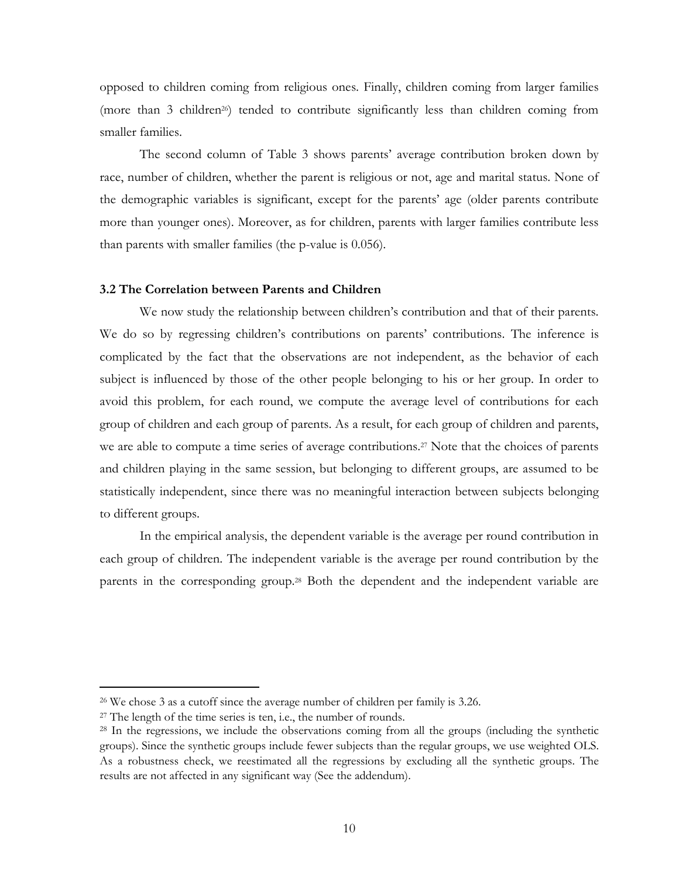opposed to children coming from religious ones. Finally, children coming from larger families (more than 3 children26) tended to contribute significantly less than children coming from smaller families.

The second column of Table 3 shows parents' average contribution broken down by race, number of children, whether the parent is religious or not, age and marital status. None of the demographic variables is significant, except for the parents' age (older parents contribute more than younger ones). Moreover, as for children, parents with larger families contribute less than parents with smaller families (the p-value is 0.056).

### 3.2 The Correlation between Parents and Children

We now study the relationship between children's contribution and that of their parents. We do so by regressing children's contributions on parents' contributions. The inference is complicated by the fact that the observations are not independent, as the behavior of each subject is influenced by those of the other people belonging to his or her group. In order to avoid this problem, for each round, we compute the average level of contributions for each group of children and each group of parents. As a result, for each group of children and parents, we are able to compute a time series of average contributions.<sup>27</sup> Note that the choices of parents and children playing in the same session, but belonging to different groups, are assumed to be statistically independent, since there was no meaningful interaction between subjects belonging to different groups.

In the empirical analysis, the dependent variable is the average per round contribution in each group of children. The independent variable is the average per round contribution by the parents in the corresponding group.28 Both the dependent and the independent variable are

<sup>26</sup> We chose 3 as a cutoff since the average number of children per family is 3.26.

<sup>27</sup> The length of the time series is ten, i.e., the number of rounds.

<sup>28</sup> In the regressions, we include the observations coming from all the groups (including the synthetic groups). Since the synthetic groups include fewer subjects than the regular groups, we use weighted OLS. As a robustness check, we reestimated all the regressions by excluding all the synthetic groups. The results are not affected in any significant way (See the addendum).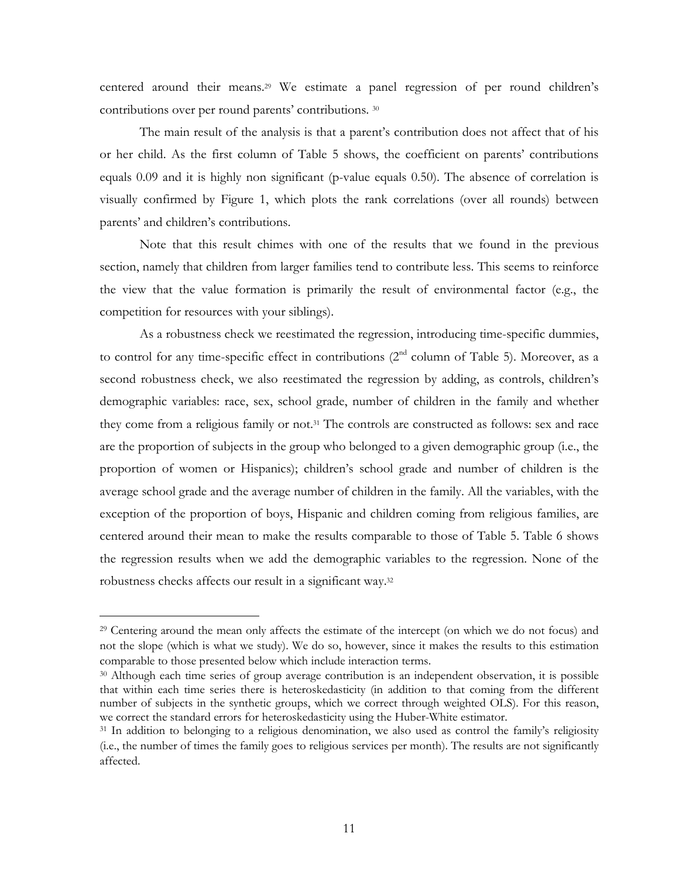centered around their means.29 We estimate a panel regression of per round children's contributions over per round parents' contributions. <sup>30</sup>

The main result of the analysis is that a parent's contribution does not affect that of his or her child. As the first column of Table 5 shows, the coefficient on parents' contributions equals 0.09 and it is highly non significant (p-value equals 0.50). The absence of correlation is visually confirmed by Figure 1, which plots the rank correlations (over all rounds) between parents' and children's contributions.

Note that this result chimes with one of the results that we found in the previous section, namely that children from larger families tend to contribute less. This seems to reinforce the view that the value formation is primarily the result of environmental factor (e.g., the competition for resources with your siblings).

As a robustness check we reestimated the regression, introducing time-specific dummies, to control for any time-specific effect in contributions  $(2^{nd}$  column of Table 5). Moreover, as a second robustness check, we also reestimated the regression by adding, as controls, children's demographic variables: race, sex, school grade, number of children in the family and whether they come from a religious family or not.31 The controls are constructed as follows: sex and race are the proportion of subjects in the group who belonged to a given demographic group (i.e., the proportion of women or Hispanics); children's school grade and number of children is the average school grade and the average number of children in the family. All the variables, with the exception of the proportion of boys, Hispanic and children coming from religious families, are centered around their mean to make the results comparable to those of Table 5. Table 6 shows the regression results when we add the demographic variables to the regression. None of the robustness checks affects our result in a significant way.<sup>32</sup>

<sup>29</sup> Centering around the mean only affects the estimate of the intercept (on which we do not focus) and not the slope (which is what we study). We do so, however, since it makes the results to this estimation comparable to those presented below which include interaction terms.

<sup>30</sup> Although each time series of group average contribution is an independent observation, it is possible that within each time series there is heteroskedasticity (in addition to that coming from the different number of subjects in the synthetic groups, which we correct through weighted OLS). For this reason, we correct the standard errors for heteroskedasticity using the Huber-White estimator.

<sup>&</sup>lt;sup>31</sup> In addition to belonging to a religious denomination, we also used as control the family's religiosity (i.e., the number of times the family goes to religious services per month). The results are not significantly affected.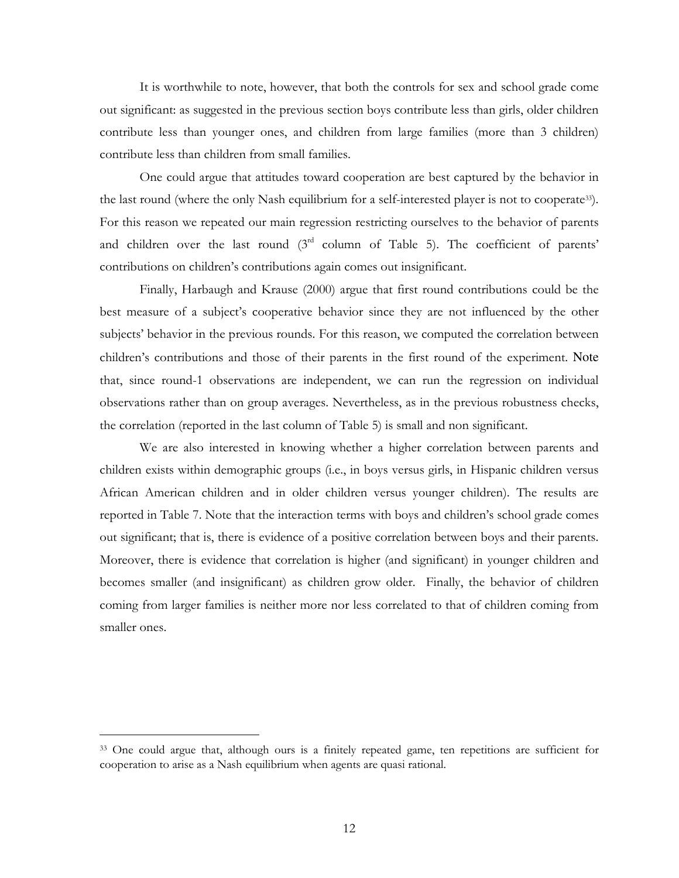It is worthwhile to note, however, that both the controls for sex and school grade come out significant: as suggested in the previous section boys contribute less than girls, older children contribute less than younger ones, and children from large families (more than 3 children) contribute less than children from small families.

One could argue that attitudes toward cooperation are best captured by the behavior in the last round (where the only Nash equilibrium for a self-interested player is not to cooperate33). For this reason we repeated our main regression restricting ourselves to the behavior of parents and children over the last round (3<sup>rd</sup> column of Table 5). The coefficient of parents' contributions on children's contributions again comes out insignificant.

Finally, Harbaugh and Krause (2000) argue that first round contributions could be the best measure of a subject's cooperative behavior since they are not influenced by the other subjects' behavior in the previous rounds. For this reason, we computed the correlation between children's contributions and those of their parents in the first round of the experiment. Note that, since round-1 observations are independent, we can run the regression on individual observations rather than on group averages. Nevertheless, as in the previous robustness checks, the correlation (reported in the last column of Table 5) is small and non significant.

We are also interested in knowing whether a higher correlation between parents and children exists within demographic groups (i.e., in boys versus girls, in Hispanic children versus African American children and in older children versus younger children). The results are reported in Table 7. Note that the interaction terms with boys and children's school grade comes out significant; that is, there is evidence of a positive correlation between boys and their parents. Moreover, there is evidence that correlation is higher (and significant) in younger children and becomes smaller (and insignificant) as children grow older. Finally, the behavior of children coming from larger families is neither more nor less correlated to that of children coming from smaller ones.

<sup>33</sup> One could argue that, although ours is a finitely repeated game, ten repetitions are sufficient for cooperation to arise as a Nash equilibrium when agents are quasi rational.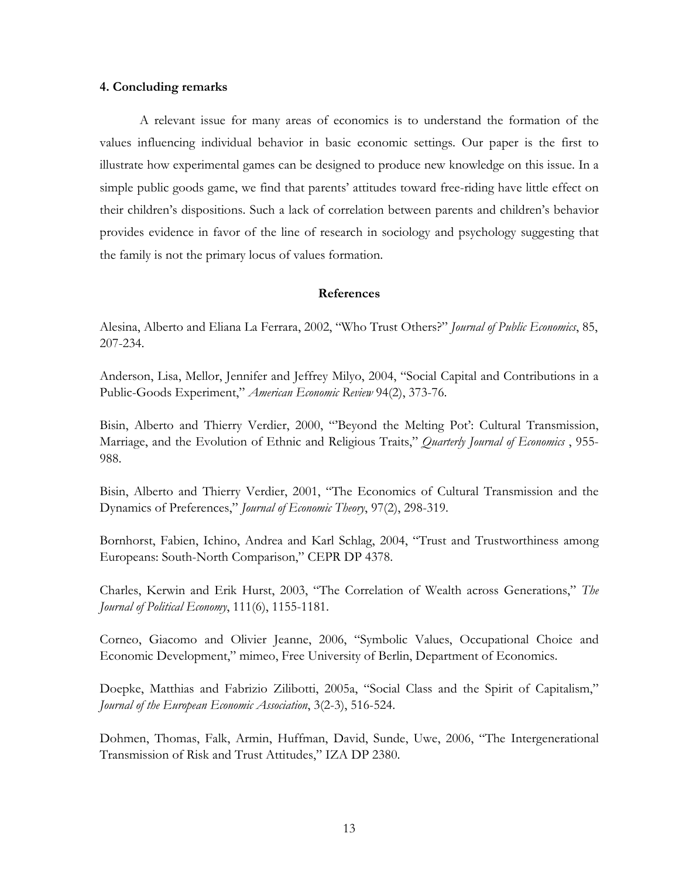### 4. Concluding remarks

A relevant issue for many areas of economics is to understand the formation of the values influencing individual behavior in basic economic settings. Our paper is the first to illustrate how experimental games can be designed to produce new knowledge on this issue. In a simple public goods game, we find that parents' attitudes toward free-riding have little effect on their children's dispositions. Such a lack of correlation between parents and children's behavior provides evidence in favor of the line of research in sociology and psychology suggesting that the family is not the primary locus of values formation.

### References

Alesina, Alberto and Eliana La Ferrara, 2002, "Who Trust Others?" Journal of Public Economics, 85, 207-234.

Anderson, Lisa, Mellor, Jennifer and Jeffrey Milyo, 2004, "Social Capital and Contributions in a Public-Goods Experiment," American Economic Review 94(2), 373-76.

Bisin, Alberto and Thierry Verdier, 2000, "'Beyond the Melting Pot': Cultural Transmission, Marriage, and the Evolution of Ethnic and Religious Traits," Quarterly Journal of Economics, 955-988.

Bisin, Alberto and Thierry Verdier, 2001, "The Economics of Cultural Transmission and the Dynamics of Preferences," Journal of Economic Theory, 97(2), 298-319.

Bornhorst, Fabien, Ichino, Andrea and Karl Schlag, 2004, "Trust and Trustworthiness among Europeans: South-North Comparison," CEPR DP 4378.

Charles, Kerwin and Erik Hurst, 2003, "The Correlation of Wealth across Generations," The Journal of Political Economy, 111(6), 1155-1181.

Corneo, Giacomo and Olivier Jeanne, 2006, "Symbolic Values, Occupational Choice and Economic Development," mimeo, Free University of Berlin, Department of Economics.

Doepke, Matthias and Fabrizio Zilibotti, 2005a, "Social Class and the Spirit of Capitalism," Journal of the European Economic Association, 3(2-3), 516-524.

Dohmen, Thomas, Falk, Armin, Huffman, David, Sunde, Uwe, 2006, "The Intergenerational Transmission of Risk and Trust Attitudes," IZA DP 2380.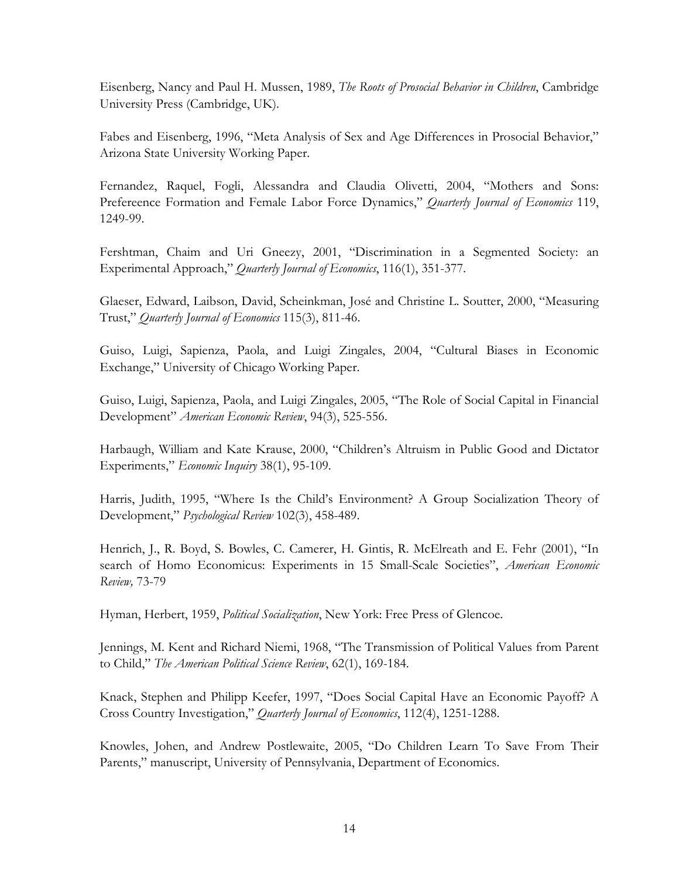Eisenberg, Nancy and Paul H. Mussen, 1989, The Roots of Prosocial Behavior in Children, Cambridge University Press (Cambridge, UK).

Fabes and Eisenberg, 1996, "Meta Analysis of Sex and Age Differences in Prosocial Behavior," Arizona State University Working Paper.

Fernandez, Raquel, Fogli, Alessandra and Claudia Olivetti, 2004, "Mothers and Sons: Prefereence Formation and Female Labor Force Dynamics," Quarterly Journal of Economics 119, 1249-99.

Fershtman, Chaim and Uri Gneezy, 2001, "Discrimination in a Segmented Society: an Experimental Approach," Quarterly Journal of Economics, 116(1), 351-377.

Glaeser, Edward, Laibson, David, Scheinkman, José and Christine L. Soutter, 2000, "Measuring Trust," Ouarterly Journal of Economics 115(3), 811-46.

Guiso, Luigi, Sapienza, Paola, and Luigi Zingales, 2004, "Cultural Biases in Economic Exchange," University of Chicago Working Paper.

Guiso, Luigi, Sapienza, Paola, and Luigi Zingales, 2005, "The Role of Social Capital in Financial Development" American Economic Review, 94(3), 525-556.

Harbaugh, William and Kate Krause, 2000, "Children's Altruism in Public Good and Dictator Experiments," Economic Inquiry 38(1), 95-109.

Harris, Judith, 1995, "Where Is the Child's Environment? A Group Socialization Theory of Development," Psychological Review 102(3), 458-489.

Henrich, J., R. Boyd, S. Bowles, C. Camerer, H. Gintis, R. McElreath and E. Fehr (2001), "In search of Homo Economicus: Experiments in 15 Small-Scale Societies", American Economic Review, 73-79

Hyman, Herbert, 1959, *Political Socialization*, New York: Free Press of Glencoe.

Jennings, M. Kent and Richard Niemi, 1968, "The Transmission of Political Values from Parent to Child," The American Political Science Review, 62(1), 169-184.

Knack, Stephen and Philipp Keefer, 1997, "Does Social Capital Have an Economic Payoff? A Cross Country Investigation," Quarterly Journal of Economics, 112(4), 1251-1288.

Knowles, Johen, and Andrew Postlewaite, 2005, "Do Children Learn To Save From Their Parents," manuscript, University of Pennsylvania, Department of Economics.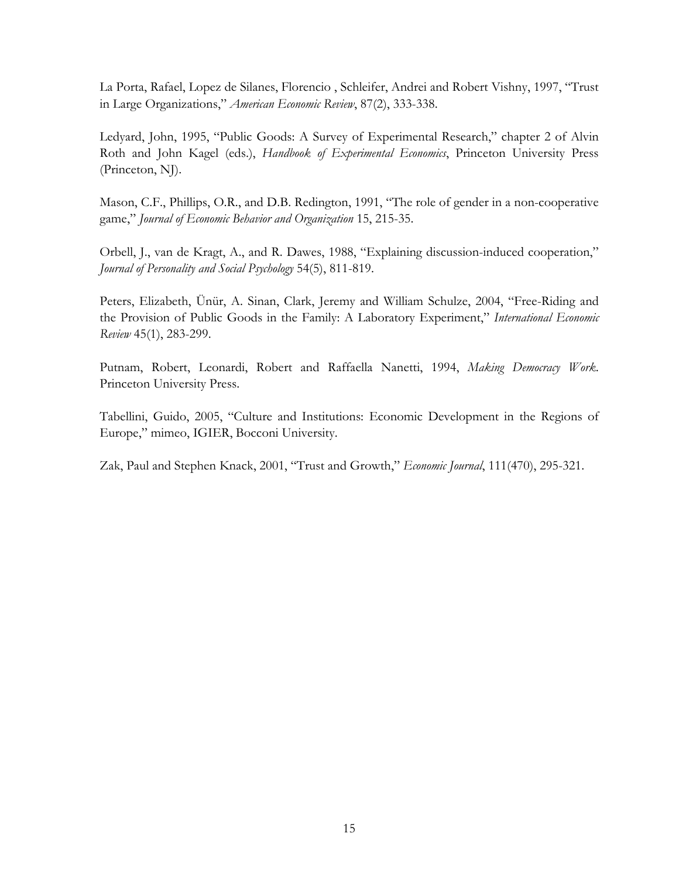La Porta, Rafael, Lopez de Silanes, Florencio , Schleifer, Andrei and Robert Vishny, 1997, "Trust in Large Organizations," American Economic Review, 87(2), 333-338.

Ledyard, John, 1995, "Public Goods: A Survey of Experimental Research," chapter 2 of Alvin Roth and John Kagel (eds.), Handbook of Experimental Economics, Princeton University Press (Princeton, NJ).

Mason, C.F., Phillips, O.R., and D.B. Redington, 1991, "The role of gender in a non-cooperative game," Journal of Economic Behavior and Organization 15, 215-35.

Orbell, J., van de Kragt, A., and R. Dawes, 1988, "Explaining discussion-induced cooperation," Journal of Personality and Social Psychology 54(5), 811-819.

Peters, Elizabeth, Ünür, A. Sinan, Clark, Jeremy and William Schulze, 2004, "Free-Riding and the Provision of Public Goods in the Family: A Laboratory Experiment," International Economic Review 45(1), 283-299.

Putnam, Robert, Leonardi, Robert and Raffaella Nanetti, 1994, Making Democracy Work. Princeton University Press.

Tabellini, Guido, 2005, "Culture and Institutions: Economic Development in the Regions of Europe," mimeo, IGIER, Bocconi University.

Zak, Paul and Stephen Knack, 2001, "Trust and Growth," Economic Journal, 111(470), 295-321.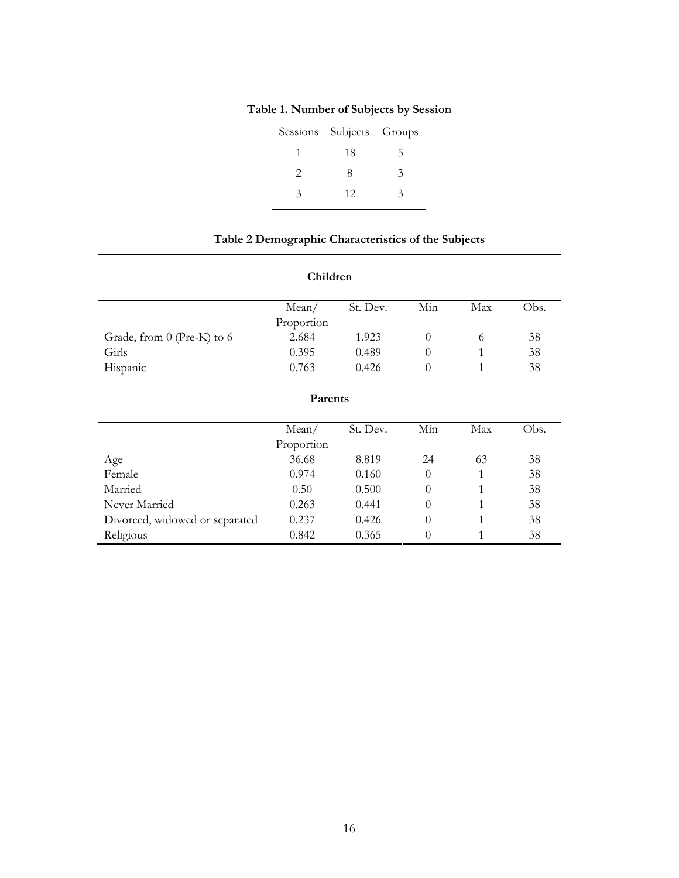|   | Sessions Subjects Groups |   |
|---|--------------------------|---|
|   | 18                       | ካ |
| 2 | Χ                        | ٦ |
| 2 | 12                       |   |

Table 1. Number of Subjects by Session

### Table 2 Demographic Characteristics of the Subjects

### Children

|                            | Mean/      | St. Dev. | Min | Max | Obs. |
|----------------------------|------------|----------|-----|-----|------|
|                            | Proportion |          |     |     |      |
| Grade, from 0 (Pre-K) to 6 | 2.684      | 1.923    |     |     | 38   |
| Girls                      | 0.395      | 0.489    |     |     | 38   |
| Hispanic                   | 0.763      | 0.426    |     |     | 38   |

|                                | я агень                   |          |     |     |      |
|--------------------------------|---------------------------|----------|-----|-----|------|
|                                |                           |          |     |     |      |
|                                | Mean/                     | St. Dev. | Min | Max | Obs. |
|                                | Proportion                |          |     |     |      |
| Age                            | 36.68                     | 8.819    | 24  | 63  | 38   |
| Female                         | 0.974                     | 0.160    | 0   |     | 38   |
| Married                        | 0.500<br>0.50<br>$\theta$ |          |     |     | 38   |
| Never Married                  | 0.263                     | 0.441    | 0   |     | 38   |
| Divorced, widowed or separated | 0.237                     | 0.426    | 0   |     | 38   |
| Religious                      | 0.842                     | 0.365    | 0   |     | 38   |

# Parents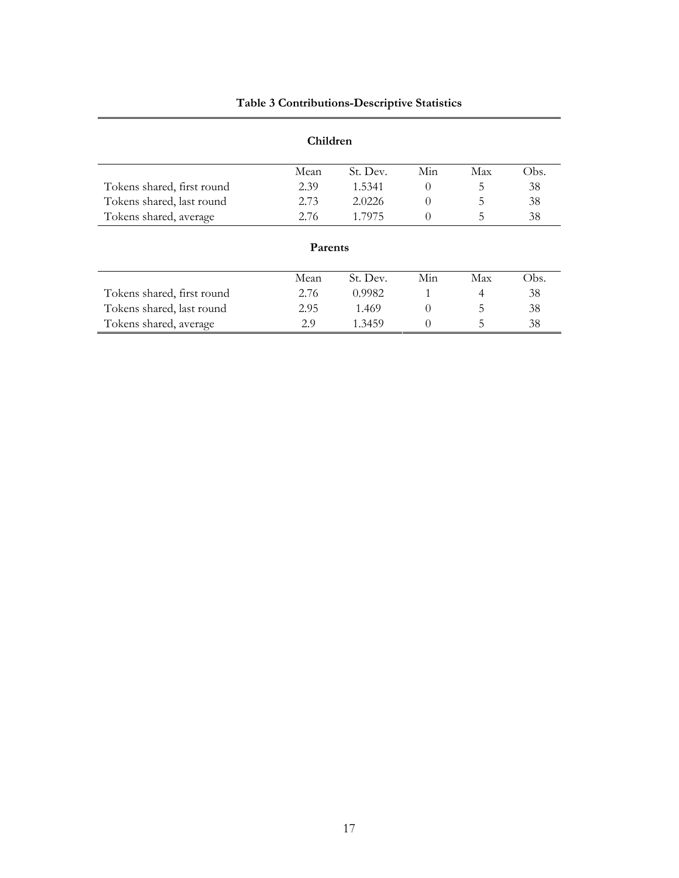### Table 3 Contributions-Descriptive Statistics

| Children                   |      |          |          |     |      |  |
|----------------------------|------|----------|----------|-----|------|--|
|                            | Mean | St. Dev. | Min      | Max | Obs. |  |
| Tokens shared, first round | 2.39 | 1.5341   | $\theta$ | 5   | 38   |  |
| Tokens shared, last round  | 2.73 | 2.0226   | $\theta$ | 5   | 38   |  |
| Tokens shared, average     | 2.76 | 1.7975   | 0        | 5   | 38   |  |
| Parents                    |      |          |          |     |      |  |
|                            | Mean | St. Dev. | Min      | Max | Obs. |  |
| Tokens shared, first round | 2.76 | 0.9982   | 1        | 4   | 38   |  |
| Tokens shared, last round  | 2.95 | 1.469    | $\Omega$ | 5   | 38   |  |
| Tokens shared, average     | 2.9  | 1.3459   | $_{0}$   | 5   | 38   |  |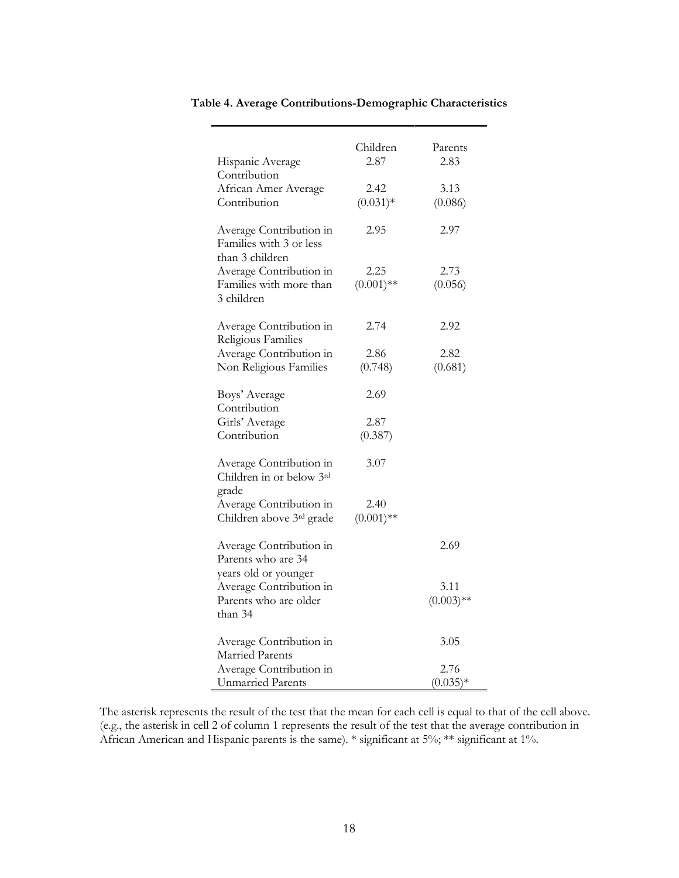| Hispanic Average                                                                    | Children<br>2.87     | Parents<br>2.83      |
|-------------------------------------------------------------------------------------|----------------------|----------------------|
| Contribution<br>African Amer Average<br>Contribution                                | 2.42<br>$(0.031)*$   | 3.13<br>(0.086)      |
| Average Contribution in<br>Families with 3 or less<br>than 3 children               | 2.95                 | 2.97                 |
| Average Contribution in<br>Families with more than<br>3 children                    | 2.25<br>$(0.001)$ ** | 2.73<br>(0.056)      |
| Average Contribution in<br>Religious Families                                       | 2.74                 | 2.92                 |
| Average Contribution in<br>Non Religious Families                                   | 2.86<br>(0.748)      | 2.82<br>(0.681)      |
| Boys' Average<br>Contribution                                                       | 2.69                 |                      |
| Girls' Average<br>Contribution                                                      | 2.87<br>(0.387)      |                      |
| Average Contribution in<br>Children in or below 3rd                                 | 3.07                 |                      |
| grade<br>Average Contribution in<br>Children above 3rd grade                        | 2.40<br>$(0.001)$ ** |                      |
| Average Contribution in<br>Parents who are 34                                       |                      | 2.69                 |
| years old or younger<br>Average Contribution in<br>Parents who are older<br>than 34 |                      | 3.11<br>$(0.003)$ ** |
| Average Contribution in<br>Married Parents                                          |                      | 3.05                 |
| Average Contribution in<br><b>Unmarried Parents</b>                                 |                      | 2.76<br>$(0.035)*$   |

Table 4. Average Contributions-Demographic Characteristics

The asterisk represents the result of the test that the mean for each cell is equal to that of the cell above. (e.g., the asterisk in cell 2 of column 1 represents the result of the test that the average contribution in African American and Hispanic parents is the same). \* significant at 5%; \*\* significant at 1%.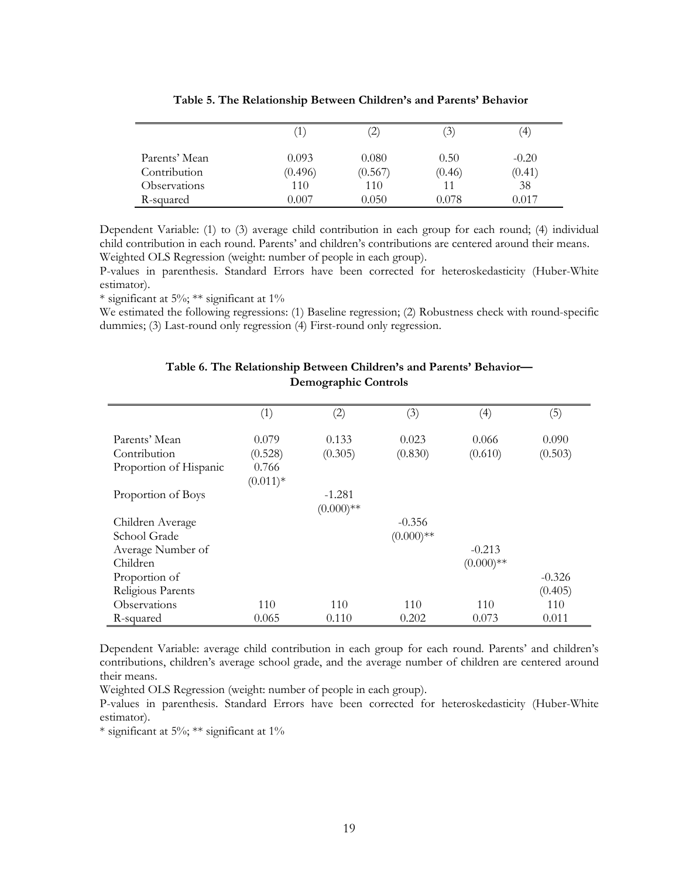|               | Ί`      | $\left( 2\right)$ | (3)    | $\left(4\right)$ |
|---------------|---------|-------------------|--------|------------------|
| Parents' Mean | 0.093   | 0.080             | 0.50   | $-0.20$          |
| Contribution  | (0.496) | (0.567)           | (0.46) | (0.41)           |
| Observations  | 110     | 110               |        | 38               |
| R-squared     | 0.007   | 0.050             | 0.078  | 0.017            |

Dependent Variable: (1) to (3) average child contribution in each group for each round; (4) individual child contribution in each round. Parents' and children's contributions are centered around their means. Weighted OLS Regression (weight: number of people in each group).

P-values in parenthesis. Standard Errors have been corrected for heteroskedasticity (Huber-White estimator).

\* significant at 5%; \*\* significant at 1%

We estimated the following regressions: (1) Baseline regression; (2) Robustness check with round-specific dummies; (3) Last-round only regression (4) First-round only regression.

|                        | (1)        | (2)         | (3)         | $\left( 4\right)$ | (5)      |
|------------------------|------------|-------------|-------------|-------------------|----------|
| Parents' Mean          | 0.079      | 0.133       | 0.023       | 0.066             | 0.090    |
| Contribution           | (0.528)    | (0.305)     | (0.830)     | (0.610)           | (0.503)  |
| Proportion of Hispanic | 0.766      |             |             |                   |          |
|                        | $(0.011)*$ |             |             |                   |          |
| Proportion of Boys     |            | $-1.281$    |             |                   |          |
|                        |            | $(0.000)**$ |             |                   |          |
| Children Average       |            |             | $-0.356$    |                   |          |
| School Grade           |            |             | $(0.000)**$ |                   |          |
| Average Number of      |            |             |             | $-0.213$          |          |
| Children               |            |             |             | $(0.000)**$       |          |
| Proportion of          |            |             |             |                   | $-0.326$ |
| Religious Parents      |            |             |             |                   | (0.405)  |
| Observations           | 110        | 110         | 110         | 110               | 110      |
| R-squared              | 0.065      | 0.110       | 0.202       | 0.073             | 0.011    |

### Table 6. The Relationship Between Children's and Parents' Behavior— Demographic Controls

Dependent Variable: average child contribution in each group for each round. Parents' and children's contributions, children's average school grade, and the average number of children are centered around their means.

Weighted OLS Regression (weight: number of people in each group).

P-values in parenthesis. Standard Errors have been corrected for heteroskedasticity (Huber-White estimator).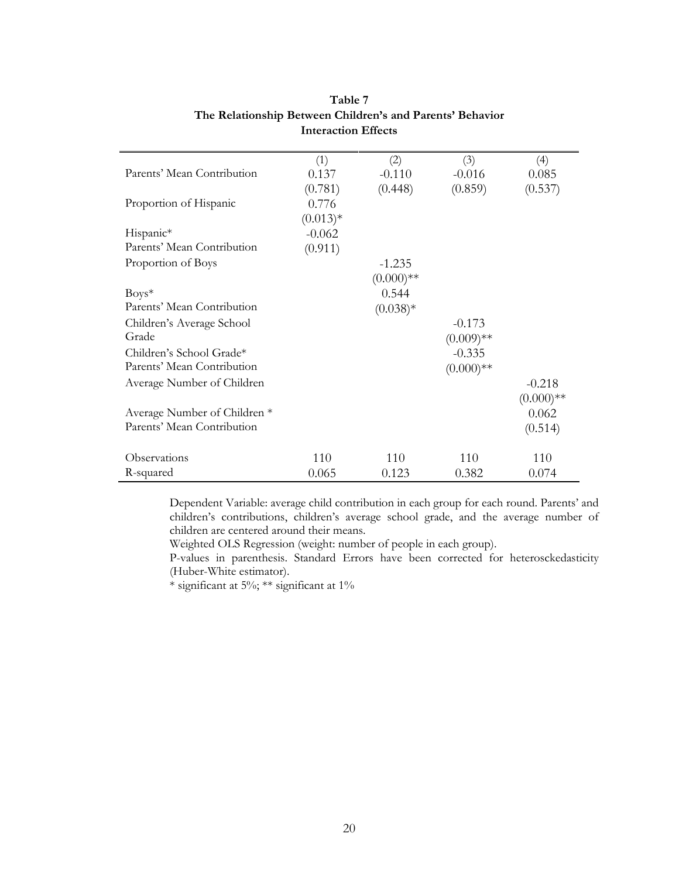|                                         | (1)        | (2)         | (3)          | (4)         |
|-----------------------------------------|------------|-------------|--------------|-------------|
| Parents' Mean Contribution              | 0.137      | $-0.110$    | $-0.016$     | 0.085       |
|                                         | (0.781)    | (0.448)     | (0.859)      | (0.537)     |
| Proportion of Hispanic                  | 0.776      |             |              |             |
|                                         | $(0.013)*$ |             |              |             |
| Hispanic*                               | $-0.062$   |             |              |             |
| Parents' Mean Contribution              | (0.911)    |             |              |             |
| Proportion of Boys                      |            | $-1.235$    |              |             |
|                                         |            | $(0.000)**$ |              |             |
| $Boys^*$                                |            | 0.544       |              |             |
| Parents' Mean Contribution              |            | $(0.038)*$  |              |             |
| Children's Average School               |            |             | $-0.173$     |             |
| Grade                                   |            |             | $(0.009)$ ** |             |
| Children's School Grade*                |            |             | $-0.335$     |             |
| Parents' Mean Contribution              |            |             | $(0.000)**$  |             |
| Average Number of Children              |            |             |              | $-0.218$    |
|                                         |            |             |              | $(0.000)**$ |
| Average Number of Children <sup>*</sup> |            |             |              | 0.062       |
| Parents' Mean Contribution              |            |             |              | (0.514)     |
|                                         |            |             |              |             |
| Observations                            | 110        | 110         | 110          | 110         |
| R-squared                               | 0.065      | 0.123       | 0.382        | 0.074       |

### Table 7 The Relationship Between Children's and Parents' Behavior Interaction Effects

Dependent Variable: average child contribution in each group for each round. Parents' and children's contributions, children's average school grade, and the average number of children are centered around their means.

Weighted OLS Regression (weight: number of people in each group).

P-values in parenthesis. Standard Errors have been corrected for heterosckedasticity (Huber-White estimator).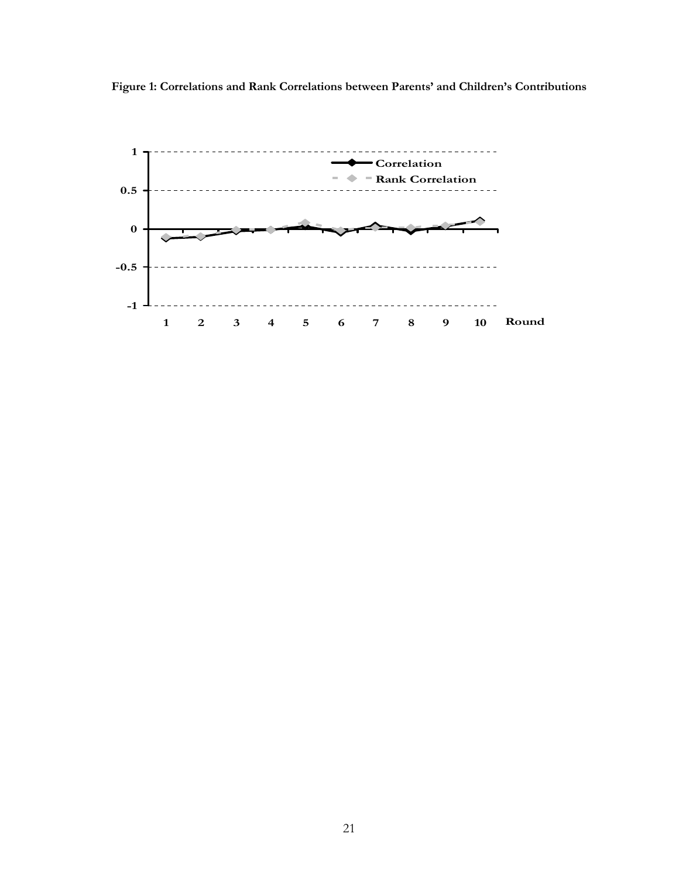

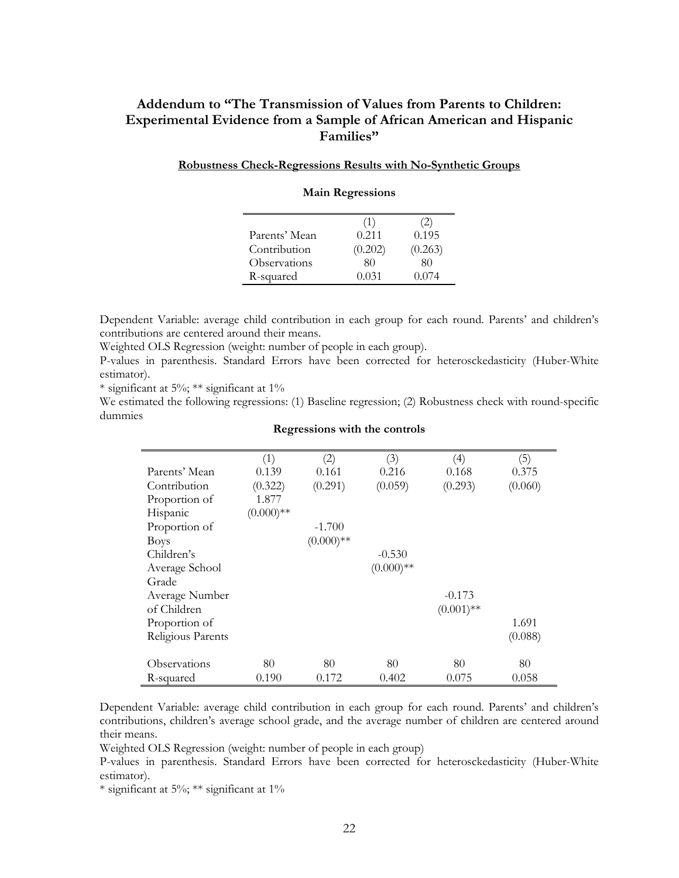### Addendum to "The Transmission of Values from Parents to Children: Experimental Evidence from a Sample of African American and Hispanic Families"

### Robustness Check-Regressions Results with No-Synthetic Groups

|               | (1)     | 2)      |
|---------------|---------|---------|
| Parents' Mean | 0.211   | 0.195   |
| Contribution  | (0.202) | (0.263) |
| Observations  | 80      | 80      |
| R-squared     | 0.031   | 0.074   |

#### Main Regressions

Dependent Variable: average child contribution in each group for each round. Parents' and children's contributions are centered around their means.

Weighted OLS Regression (weight: number of people in each group).

P-values in parenthesis. Standard Errors have been corrected for heterosckedasticity (Huber-White estimator).

 $*$  significant at 5%;  $**$  significant at 1%

We estimated the following regressions: (1) Baseline regression; (2) Robustness check with round-specific dummies

|                   | (1)         | (2)         | (3)         | (4)          | (5)     |
|-------------------|-------------|-------------|-------------|--------------|---------|
| Parents' Mean     | 0.139       | 0.161       | 0.216       | 0.168        | 0.375   |
| Contribution      | (0.322)     | (0.291)     | (0.059)     | (0.293)      | (0.060) |
| Proportion of     | 1.877       |             |             |              |         |
| Hispanic          | $(0.000)**$ |             |             |              |         |
| Proportion of     |             | $-1.700$    |             |              |         |
| <b>Boys</b>       |             | $(0.000)**$ |             |              |         |
| Children's        |             |             | $-0.530$    |              |         |
| Average School    |             |             | $(0.000)**$ |              |         |
| Grade             |             |             |             |              |         |
| Average Number    |             |             |             | $-0.173$     |         |
| of Children       |             |             |             | $(0.001)$ ** |         |
| Proportion of     |             |             |             |              | 1.691   |
| Religious Parents |             |             |             |              | (0.088) |
|                   |             |             |             |              |         |
| Observations      | 80          | 80          | 80          | 80           | 80      |
| R-squared         | 0.190       | 0.172       | 0.402       | 0.075        | 0.058   |

#### Regressions with the controls

Dependent Variable: average child contribution in each group for each round. Parents' and children's contributions, children's average school grade, and the average number of children are centered around their means.

Weighted OLS Regression (weight: number of people in each group)

P-values in parenthesis. Standard Errors have been corrected for heterosckedasticity (Huber-White estimator).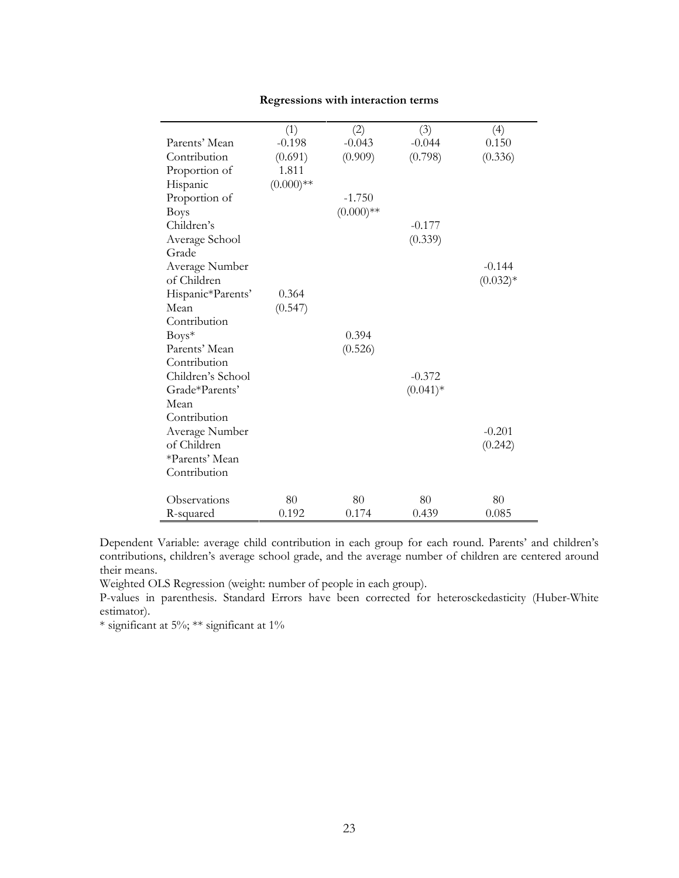|                   | (1)          | (2)          | (3)        | (4)        |
|-------------------|--------------|--------------|------------|------------|
| Parents' Mean     | $-0.198$     | $-0.043$     | $-0.044$   | 0.150      |
| Contribution      | (0.691)      | (0.909)      | (0.798)    | (0.336)    |
| Proportion of     | 1.811        |              |            |            |
| Hispanic          | $(0.000)$ ** |              |            |            |
| Proportion of     |              | $-1.750$     |            |            |
| <b>Boys</b>       |              | $(0.000)$ ** |            |            |
| Children's        |              |              | $-0.177$   |            |
| Average School    |              |              | (0.339)    |            |
| Grade             |              |              |            |            |
| Average Number    |              |              |            | $-0.144$   |
| of Children       |              |              |            | $(0.032)*$ |
| Hispanic*Parents' | 0.364        |              |            |            |
| Mean              | (0.547)      |              |            |            |
| Contribution      |              |              |            |            |
| $Boys^*$          |              | 0.394        |            |            |
| Parents' Mean     |              | (0.526)      |            |            |
| Contribution      |              |              |            |            |
| Children's School |              |              | $-0.372$   |            |
| Grade*Parents'    |              |              | $(0.041)*$ |            |
| Mean              |              |              |            |            |
| Contribution      |              |              |            |            |
| Average Number    |              |              |            | $-0.201$   |
| of Children       |              |              |            | (0.242)    |
| *Parents' Mean    |              |              |            |            |
| Contribution      |              |              |            |            |
|                   |              |              |            |            |
| Observations      | 80           | 80           | 80         | 80         |
| R-squared         | 0.192        | 0.174        | 0.439      | 0.085      |

### Regressions with interaction terms

Dependent Variable: average child contribution in each group for each round. Parents' and children's contributions, children's average school grade, and the average number of children are centered around their means.

Weighted OLS Regression (weight: number of people in each group).

P-values in parenthesis. Standard Errors have been corrected for heterosckedasticity (Huber-White estimator).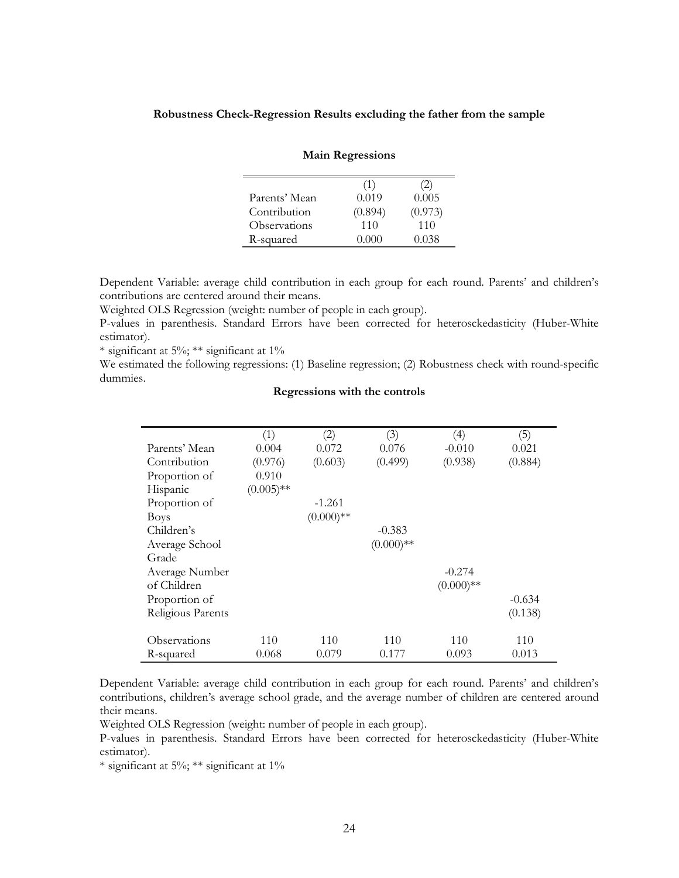#### Robustness Check-Regression Results excluding the father from the sample

|               | (1)     | (2)     |
|---------------|---------|---------|
| Parents' Mean | 0.019   | 0.005   |
| Contribution  | (0.894) | (0.973) |
| Observations  | 110     | 110     |
| R-squared     | (1000)  | 0.038   |

#### Main Regressions

Dependent Variable: average child contribution in each group for each round. Parents' and children's contributions are centered around their means.

Weighted OLS Regression (weight: number of people in each group).

P-values in parenthesis. Standard Errors have been corrected for heterosckedasticity (Huber-White estimator).

\* significant at 5%; \*\* significant at  $1\%$ 

We estimated the following regressions: (1) Baseline regression; (2) Robustness check with round-specific dummies.

### Regressions with the controls

|                   | (1)          | (2)         | (3)         | (4)         | (5)      |
|-------------------|--------------|-------------|-------------|-------------|----------|
| Parents' Mean     | 0.004        | 0.072       | 0.076       | $-0.010$    | 0.021    |
| Contribution      | (0.976)      | (0.603)     | (0.499)     | (0.938)     | (0.884)  |
| Proportion of     | 0.910        |             |             |             |          |
| Hispanic          | $(0.005)$ ** |             |             |             |          |
| Proportion of     |              | $-1.261$    |             |             |          |
| <b>Boys</b>       |              | $(0.000)**$ |             |             |          |
| Children's        |              |             | $-0.383$    |             |          |
| Average School    |              |             | $(0.000)**$ |             |          |
| Grade             |              |             |             |             |          |
| Average Number    |              |             |             | $-0.274$    |          |
| of Children       |              |             |             | $(0.000)**$ |          |
| Proportion of     |              |             |             |             | $-0.634$ |
| Religious Parents |              |             |             |             | (0.138)  |
|                   |              |             |             |             |          |
| Observations      | 110          | 110         | 110         | 110         | 110      |
| R-squared         | 0.068        | 0.079       | 0.177       | 0.093       | 0.013    |

Dependent Variable: average child contribution in each group for each round. Parents' and children's contributions, children's average school grade, and the average number of children are centered around their means.

Weighted OLS Regression (weight: number of people in each group).

P-values in parenthesis. Standard Errors have been corrected for heterosckedasticity (Huber-White estimator).